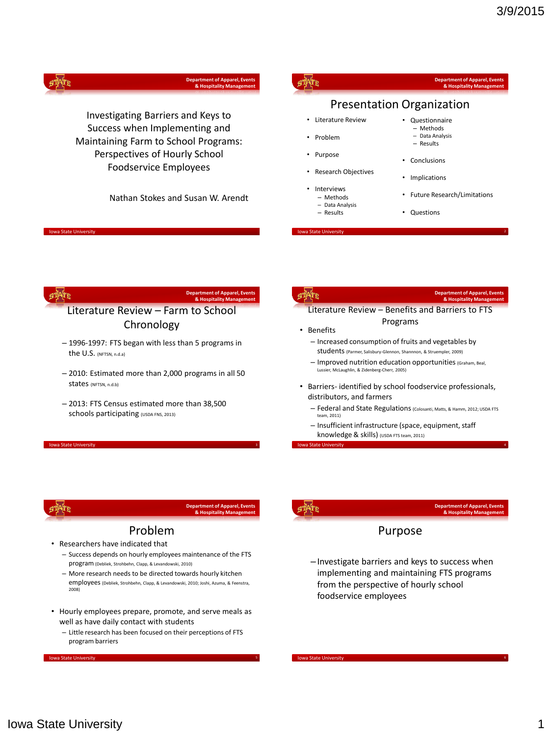|                                                                                                                                                                       | <b>Department of Apparel, Events</b><br>& Hospitality Management |                                                                                                                                   | <b>Department of Apparel, Events</b><br>& Hospitality Management                                                                                |
|-----------------------------------------------------------------------------------------------------------------------------------------------------------------------|------------------------------------------------------------------|-----------------------------------------------------------------------------------------------------------------------------------|-------------------------------------------------------------------------------------------------------------------------------------------------|
|                                                                                                                                                                       |                                                                  |                                                                                                                                   | <b>Presentation Organization</b>                                                                                                                |
| Investigating Barriers and Keys to<br>Success when Implementing and<br>Maintaining Farm to School Programs:<br>Perspectives of Hourly School<br>Foodservice Employees | Nathan Stokes and Susan W. Arendt                                | • Literature Review<br>• Problem<br>• Purpose<br>• Research Objectives<br>Interviews<br>- Methods<br>- Data Analysis<br>- Results | • Questionnaire<br>- Methods<br>- Data Analysis<br>- Results<br>• Conclusions<br>• Implications<br>• Future Research/Limitations<br>• Questions |
|                                                                                                                                                                       |                                                                  |                                                                                                                                   |                                                                                                                                                 |
|                                                                                                                                                                       |                                                                  |                                                                                                                                   |                                                                                                                                                 |
|                                                                                                                                                                       | <b>Department of Apparel, Events</b>                             |                                                                                                                                   | <b>Department of Apparel, Events</b>                                                                                                            |
|                                                                                                                                                                       | & Hospitality Management                                         |                                                                                                                                   | & Hospitality Management                                                                                                                        |
| Literature Review - Farm to School<br>Chronology                                                                                                                      |                                                                  | • Benefits                                                                                                                        | Literature Review - Benefits and Barriers to FTS<br>Programs                                                                                    |
| - 1996-1997: FTS began with less than 5 programs in<br>the U.S. (NFTSN, n.d.a)                                                                                        |                                                                  |                                                                                                                                   | - Increased consumption of fruits and vegetables by<br>Students (Parmer, Salisbury-Glennon, Shannnon, & Struempler, 2009)                       |

- 2013: FTS Census estimated more than 38,500 distributors, and farmers
	- Federal and State Regulations (Colosanti, Matts, & Hamm, 2012; USDA FTS team, 2011)
	- Insufficient infrastructure (space, equipment, staff knowledge & skills) (USDA FTS team, 2011)

Iowa State University <sup>4</sup>

Iowa State University



wa State Universi

**Department of Apparel, Events & Hospitality Management**

### Problem

• Researchers have indicated that

Iowa State University

pri

schools participating (USDA FNS, 2013)

- Success depends on hourly employees maintenance of the FTS program (Debliek, Strohbehn, Clapp, & Levandowski, 2010)
- More research needs to be directed towards hourly kitchen employees (Debliek, Strohbehn, Clapp, & Levandowski, 2010; Joshi, Azuma, & Feenstra, 2008)
- Hourly employees prepare, promote, and serve meals as well as have daily contact with students
	- Little research has been focused on their perceptions of FTS program barriers

Iowa State University

### **Department of Apparel, Events & Hospitality Management**

### Purpose

–Investigate barriers and keys to success when implementing and maintaining FTS programs from the perspective of hourly school foodservice employees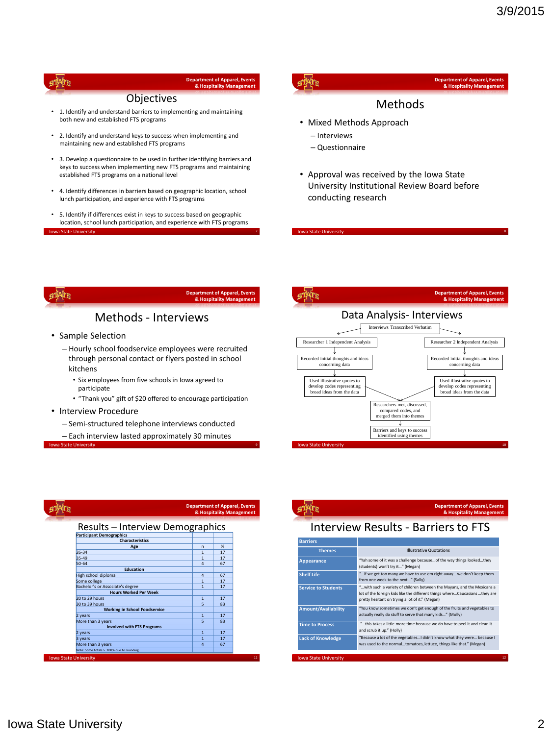

### **Department of Apparel, Events & Hospitality Management**

### **Objectives**

- 1. Identify and understand barriers to implementing and maintaining both new and established FTS programs
- 2. Identify and understand keys to success when implementing and maintaining new and established FTS programs
- 3. Develop a questionnaire to be used in further identifying barriers and keys to success when implementing new FTS programs and maintaining established FTS programs on a national level
- 4. Identify differences in barriers based on geographic location, school lunch participation, and experience with FTS programs
- 5. Identify if differences exist in keys to success based on geographic location, school lunch participation, and experience with FTS programs Iowa State University <sup>7</sup>

### s PATR

### **Department of Apparel, Events & Hospitality Management**

### Methods

- Mixed Methods Approach
	- Interviews

Iowa State University

- Questionnaire
- Approval was received by the Iowa State University Institutional Review Board before conducting research

ņф

**Department of Apparel, Events & Hospitality Management**

### Methods - Interviews

- Sample Selection
	- Hourly school foodservice employees were recruited through personal contact or flyers posted in school kitchens
		- Six employees from five schools in Iowa agreed to participate
		- "Thank you" gift of \$20 offered to encourage participation
- Interview Procedure

**Iowa State University** 

– Semi-structured telephone interviews conducted

– Each interview lasted approximately 30 minutes





**Department of Apparel, Events & Hospitality Management**

### Interview Results - Barriers to FTS

| <b>Barriers</b>              |                                                                                                                                                                                                           |
|------------------------------|-----------------------------------------------------------------------------------------------------------------------------------------------------------------------------------------------------------|
| <b>Themes</b>                | <b>Illustrative Quotations</b>                                                                                                                                                                            |
| Appearance                   | "Yah some of it was a challenge because of the way things looked they<br>(students) won't try it" (Megan)                                                                                                 |
| <b>Shelf Life</b>            | " if we get too many we have to use em right away we don't keep them<br>from one week to the next" (Sally)                                                                                                |
| <b>Service to Students</b>   | " with such a variety of children between the Mayans, and the Mexicans a<br>lot of the foreign kids like the different things whereCaucasians they are<br>pretty hesitant on trying a lot of it." (Megan) |
| <b>Amount/Availability</b>   | "You know sometimes we don't get enough of the fruits and vegetables to<br>actually really do stuff to serve that many kids" (Molly)                                                                      |
| <b>Time to Process</b>       | "this takes a little more time because we do have to peel it and clean it<br>and scrub it up." (Holly)                                                                                                    |
| <b>Lack of Knowledge</b>     | "Because a lot of the vegetables I didn't know what they were because I<br>was used to the normaltomatoes, lettuce, things like that." (Megan)                                                            |
| <b>Iowa State University</b> |                                                                                                                                                                                                           |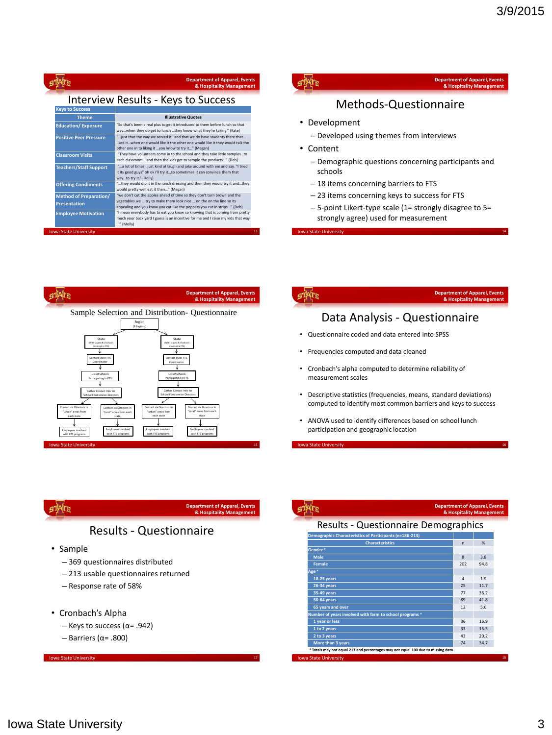|                               | <b>Department of Apparel, Events</b><br>& Hospitality Management                                                                                                                                                  |
|-------------------------------|-------------------------------------------------------------------------------------------------------------------------------------------------------------------------------------------------------------------|
|                               | <b>Interview Results - Keys to Success</b>                                                                                                                                                                        |
| <b>Keys to Success</b>        |                                                                                                                                                                                                                   |
| <b>Theme</b>                  | <b>Illustrative Quotes</b>                                                                                                                                                                                        |
| <b>Education/Exposure</b>     | "So that's been a real plus to get it introduced to them before lunch so that<br>waywhen they do get to lunch they know what they're taking." (Kate)                                                              |
| <b>Positive Peer Pressure</b> | "just that the way we served itand that we do have students there that<br>liked itwhen one would like it the other one would like it they would talk the<br>other one in to liking it you know to try it" (Megan) |
| <b>Classroom Visits</b>       | "They have volunteers come in to the school and they take little samplesto                                                                                                                                        |

| Iowa State University                                |                                                                                                                                                                                                                             | 13 |
|------------------------------------------------------|-----------------------------------------------------------------------------------------------------------------------------------------------------------------------------------------------------------------------------|----|
| <b>Employee Motivation</b>                           | "I mean everybody has to eat you know so knowing that is coming from pretty<br>much your back yard I guess is an incentive for me and I raise my kids that way<br>" (Molly)                                                 |    |
| <b>Method of Preparation/</b><br><b>Presentation</b> | "we don't cut the apples ahead of time so they don't turn brown and the<br>vegetables we  try to make them look nice  on the on the line so its<br>appealing and you know you cut like the peppers you cut in strips" (Deb) |    |
| <b>Offering Condiments</b>                           | "they would dip it in the ranch dressing and then they would try it andthey<br>would pretty well eat it then" (Megan)                                                                                                       |    |
| <b>Teachers/Staff Support</b>                        | "a lot of times I just kind of laugh and joke around with em and say, "I tried<br>it its good guys" oh ok I'll try itso sometimes it can convince them that<br>wayto try it." (Holly)                                       |    |
|                                                      | each classroom and then the kids get to sample the products" (Deb)                                                                                                                                                          |    |



## Methods-Questionnaire

- Development
	- Developed using themes from interviews
- Content
	- Demographic questions concerning participants and schools
	- 18 items concerning barriers to FTS
	- 23 items concerning keys to success for FTS
	- 5-point Likert-type scale (1= strongly disagree to 5= strongly agree) used for measurement

Iowa State University

før

| Sample Selection and Distribution- Questionnaire<br>Region<br>(8 Regions)<br>State<br>State<br>(With largest # of schools)<br>(With largest # of schools)<br>involved in FTS)<br>involved in FTS)<br>Contact State FTS<br>Contact State FTS<br>Coordinator<br>Coordinator<br>List of Schools<br>List of Schools<br>Participating in FTS<br>Participating in FTS<br>Gather Contact Info for<br>Gather Contact Info for<br>School Foodservice Directors<br>School Foodservice Directors |
|---------------------------------------------------------------------------------------------------------------------------------------------------------------------------------------------------------------------------------------------------------------------------------------------------------------------------------------------------------------------------------------------------------------------------------------------------------------------------------------|
|                                                                                                                                                                                                                                                                                                                                                                                                                                                                                       |
|                                                                                                                                                                                                                                                                                                                                                                                                                                                                                       |
| Contact six Directors in<br>Contact six Directors in<br>Contact six Directors in<br>Contact six Directors in<br>"urban" areas from<br>"urban" areas from<br>"rural" areas from each<br>"rural" areas from each<br>each state<br>each state<br>state<br>state<br>Employees involved<br>Employees involved<br>Employees involved<br>Employees involved<br>with FTS programs<br>with FTS programs<br>with FTS programs<br>with FTS programs                                              |

# Data Analysis - Questionnaire

**Department of Apparel, Events & Hospitality Management**

- Questionnaire coded and data entered into SPSS
- Frequencies computed and data cleaned
- Cronbach's alpha computed to determine reliability of measurement scales
- Descriptive statistics (frequencies, means, standard deviations) computed to identify most common barriers and keys to success
- ANOVA used to identify differences based on school lunch participation and geographic location

a State Universi

|                                                                                  | <b>Department of Apparel, Events</b><br>& Hospitality Management |      |    |
|----------------------------------------------------------------------------------|------------------------------------------------------------------|------|----|
| <b>Results - Questionnaire Demographics</b>                                      |                                                                  |      |    |
|                                                                                  |                                                                  |      |    |
| Demographic Characteristics of Participants (n=186-213)                          |                                                                  |      |    |
| <b>Characteristics</b>                                                           | n                                                                | %    |    |
| Gender <sup>®</sup>                                                              |                                                                  |      |    |
| Male                                                                             | $\mathbf{R}$                                                     | 3.8  |    |
| <b>Female</b>                                                                    | 202                                                              | 94.8 |    |
| Age <sup>®</sup>                                                                 |                                                                  |      |    |
| 18-25 years                                                                      | $\overline{a}$                                                   | 1.9  |    |
| <b>26-34 vears</b>                                                               | 25                                                               | 11.7 |    |
| 35-49 vears                                                                      | 77                                                               | 36.2 |    |
| <b>50-64 vears</b>                                                               | 89                                                               | 41.8 |    |
| 65 years and over                                                                | 12                                                               | 5.6  |    |
| Number of years involved with farm to school programs a                          |                                                                  |      |    |
| 1 year or less                                                                   | 36                                                               | 16.9 |    |
| 1 to 2 years                                                                     | 33                                                               | 15.5 |    |
| 2 to 3 years                                                                     | 43                                                               | 20.2 |    |
| More than 3 years                                                                | 74                                                               | 34.7 |    |
| a Totals may not equal 213 and percentages may not equal 100 due to missing data |                                                                  |      |    |
| <b>Iowa State University</b>                                                     |                                                                  |      | 18 |

# яņ

### **Department of Apparel, Events & Hospitality Management**

## Results - Questionnaire

- Sample
	- 369 questionnaires distributed
	- 213 usable questionnaires returned
	- Response rate of 58%
- Cronbach's Alpha
	- Keys to success (α= .942)
	- Barriers (α= .800)

### Iowa State University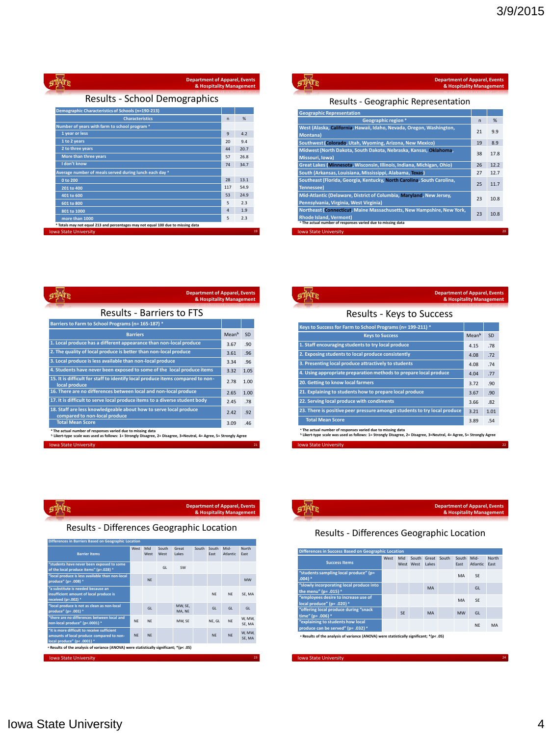| <b>Department of Apparel, Events</b> |                                                    | & Hospitality Management |              |      |
|--------------------------------------|----------------------------------------------------|--------------------------|--------------|------|
|                                      | Results - School Demographics                      |                          |              |      |
|                                      | Demographic Characteristics of Schools (n=190-213) |                          |              |      |
|                                      | <b>Characteristics</b>                             |                          | $\mathsf{n}$ | %    |
|                                      | Number of years with farm to school program a      |                          |              |      |
| 1 year or less                       |                                                    |                          | 9            | 4.2  |
| 1 to 2 years                         |                                                    |                          | 20           | 9.4  |
| 2 to three years                     |                                                    |                          | 44           | 20.7 |
| More than three years                |                                                    |                          | 57           | 26.8 |

ری

**I don't know** 74 34.7 **Average number of meals served during lunch each day ᵃ 0 to 200** 28 13.1 **201 to 400** 117 54.9 **401 to 600** 53 24.9 **601 to 800** 5 2.3 **801 to 1000** 4 1.9 **more than 1000** 5 2.3 **ᵃ Totals may not equal 213 and percentages may not equal 100 due to missing data** Iowa State University <sup>19</sup>

| <b>Department of Apparel, Events</b><br>& Hospitality Management                                              |              |      |
|---------------------------------------------------------------------------------------------------------------|--------------|------|
| Results - Geographic Representation                                                                           |              |      |
| <b>Geographic Representation</b>                                                                              |              |      |
| Geographic region <sup>a</sup>                                                                                | $\mathsf{n}$ | %    |
| West (Alaska, California, Hawaii, Idaho, Nevada, Oregon, Washington,<br>Montana)                              | 21           | 9.9  |
| Southwest (Colorado, Utah, Wyoming, Arizona, New Mexico)                                                      | 19           | 8.9  |
| Midwest (North Dakota, South Dakota, Nebraska, Kansas, Oklahoma,<br>Missouri, Iowa)                           | 38           | 17.8 |
| Great Lakes (Minnesota, Wisconsin, Illinois, Indiana, Michigan, Ohio)                                         | 26           | 12.2 |
| South (Arkansas, Louisiana, Mississippi, Alabama, Texas)                                                      | 27           | 12.7 |
| Southeast (Florida, Georgia, Kentucky, North Carolina, South Carolina,<br><b>Tennessee)</b>                   | 25           | 11.7 |
| Mid-Atlantic (Delaware, District of Columbia, Maryland, New Jersey,<br>Pennsylvania, Virginia, West Virginia) | 23           | 10.8 |
| Northeast (Connecticut, Maine Massachusetts, New Hampshire, New York,<br><b>Rhode Island, Vermont)</b>        | 23           | 10.8 |
| <sup>a</sup> The actual number of responses varied due to missing data                                        |              |      |
| <b>Iowa State University</b>                                                                                  |              | 20   |

| <b>Department of Apparel, Events</b>                                                                                                                                                         | & Hospitality Management |      |  |
|----------------------------------------------------------------------------------------------------------------------------------------------------------------------------------------------|--------------------------|------|--|
| <b>Results - Barriers to FTS</b>                                                                                                                                                             |                          |      |  |
| Barriers to Farm to School Programs (n= 165-187) a                                                                                                                                           |                          |      |  |
| <b>Barriers</b>                                                                                                                                                                              | Meanb                    | SD   |  |
| 1. Local produce has a different appearance than non-local produce                                                                                                                           | 3.67                     | .90  |  |
| 2. The quality of local produce is better than non-local produce                                                                                                                             | 3.61                     | .96  |  |
| 3. Local produce is less available than non-local produce                                                                                                                                    | 3.34                     | .96  |  |
| 4. Students have never been exposed to some of the local produce items                                                                                                                       | 3.32                     | 1.05 |  |
| 15. It is difficult for staff to identify local produce items compared to non-<br>local produce                                                                                              | 2.78                     | 1.00 |  |
| 16. There are no differences between local and non-local produce                                                                                                                             | 2.65                     | 1.00 |  |
| 17. It is difficult to serve local produce items to a diverse student body                                                                                                                   | 2.45                     | .78  |  |
| 18. Staff are less knowledgeable about how to serve local produce<br>compared to non-local produce                                                                                           | 2.42                     | .92  |  |
| <b>Total Mean Score</b>                                                                                                                                                                      | 3.09                     | .46  |  |
| * The actual number of responses varied due to missing data<br><sup>b</sup> Likert-type scale was used as follows: 1= Strongly Disagree, 2= Disagree, 3=Neutral, 4= Agree, 5= Strongly Agree |                          |      |  |
| <b>Iowa State University</b>                                                                                                                                                                 |                          | 21   |  |

| <b>Department of Apparel, Events</b>                                      | & Hospitality Management |      |
|---------------------------------------------------------------------------|--------------------------|------|
| Results - Keys to Success                                                 |                          |      |
| Keys to Success for Farm to School Programs (n= 199-211) a                |                          |      |
| <b>Keys to Success</b>                                                    | Meanb                    | SD   |
| 1. Staff encouraging students to try local produce                        | 4.15                     | .78  |
| 2. Exposing students to local produce consistently                        | 4.08                     | .72  |
| 3. Presenting local produce attractively to students                      | 4.08                     | .74  |
| 4. Using appropriate preparation methods to prepare local produce         | 4.04                     | .77  |
| 20. Getting to know local farmers                                         | 3.72                     | .90  |
| 21. Explaining to students how to prepare local produce                   | 3.67                     | .90  |
| 22. Serving local produce with condiments                                 | 3.66                     | .82  |
| 23. There is positive peer pressure amongst students to try local produce | 3.21                     | 1.01 |
| <b>Total Mean Score</b>                                                   | 3.89                     | .54  |

ª The actual number of responses varied due to missing data<br><sup>b</sup> Likert-type scale was used as follows: 1= Strongly Disagree, 2= Disagree, 3=Neutral, 4= Agree, 5= Strongly Agree

Iowa State University

57

|           | <b>Department of Apparel, Events</b> |
|-----------|--------------------------------------|
| $g$ daing | & Hospitality Management             |
|           |                                      |

Results - Differences Geographic Location

| <b>Barrier Items</b>                                                                                                    | West Mid  | West      | South<br>West | Great<br><b>Lakes</b> | South | South<br>Fast | Mid-<br><b>Atlantic</b> | North<br>Fast    |
|-------------------------------------------------------------------------------------------------------------------------|-----------|-----------|---------------|-----------------------|-------|---------------|-------------------------|------------------|
| "students have never been exposed to some<br>of the local produce items" (p=.028) *                                     |           |           | GI            | <b>SW</b>             |       |               |                         |                  |
| "local produce is less available than non-local<br>produce" (p= .008) *                                                 |           | <b>NF</b> |               |                       |       |               |                         | <b>MW</b>        |
| "a substitute is needed because an<br>insufficient amount of local produce is<br>received (p=.002) *                    |           |           |               |                       |       | <b>NF</b>     | <b>NF</b>               | SE, MA           |
| "local produce is not as clean as non-local<br>produce" (p= .001) *                                                     |           | GI        |               | MW, SE,<br>MA, NE     |       | GI            | GI                      | GI               |
| "there are no differences between local and<br>non-local produce" (p<.0001) *                                           | <b>NF</b> | <b>NF</b> |               | MW. SE                |       | NE. GL        | <b>NE</b>               | W. MW.<br>SE. MA |
| "it is more difficult to receive sufficient<br>amounts of local produce compared to non-<br>local produce" (p< .0001) * | <b>NF</b> | <b>NF</b> |               |                       |       | <b>NF</b>     | <b>NF</b>               | W, MW,<br>SE, MA |
| a Results of the analysis of variance (ANOVA) were statistically significant; * (p< .05)                                |           |           |               |                       |       |               |                         |                  |



### Results - Differences Geographic Location

| <b>Differences in Success Based on Geographic Location</b>                               |      |     |           |                                   |  |               |                  |               |  |
|------------------------------------------------------------------------------------------|------|-----|-----------|-----------------------------------|--|---------------|------------------|---------------|--|
| <b>Success Items</b>                                                                     | West | Mid | West West | South Great South<br><b>Lakes</b> |  | South<br>Fast | Mid-<br>Atlantic | North<br>Fast |  |
| "students sampling local produce" (p=<br>$.004)$ <sup>a</sup>                            |      |     |           |                                   |  | MA            | SF               |               |  |
| "slowly incorporating local produce into<br>the menu" (p= .015) <sup>a</sup>             |      |     |           | MA                                |  |               | GI               |               |  |
| "employees desire to increase use of<br>local produce" (p= .020) a                       |      |     |           |                                   |  | MA            | SF               |               |  |
| "offering local produce during "snack<br>time" (p= .006) a                               |      | SF  |           | MA                                |  | <b>MW</b>     | GI               |               |  |
| "explaining to students how local<br>produce can be served" (p= .032) °                  |      |     |           |                                   |  |               | <b>NF</b>        | MA            |  |
| A Results of the analysis of variance (ANOVA) were statistically significant: * (p< .05) |      |     |           |                                   |  |               |                  |               |  |

Iowa State University <sup>24</sup>

Iowa State University 4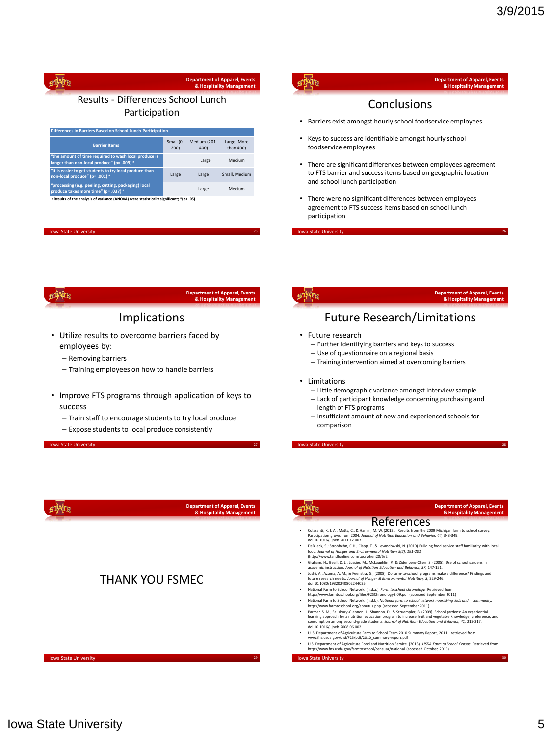|                      | <b>Department of Apparel, Events</b><br>& Hospitality Management | <b>Department of Apparel, Events</b><br>& Hospitality Management                                                                 |
|----------------------|------------------------------------------------------------------|----------------------------------------------------------------------------------------------------------------------------------|
| chool Lunch          |                                                                  | Conclusions                                                                                                                      |
|                      |                                                                  | Barriers exist amongst hourly school foodservice employees                                                                       |
| Medium (201-<br>400) | Large (More<br>than 400)                                         | Keys to success are identifiable amongst hourly school<br>foodservice employees                                                  |
| Large<br>Large       | Medium<br>Small, Medium                                          | There are significant differences between employees agreement<br>to FTS barrier and success items based on geographic location   |
| Large                | Medium                                                           | and school lunch participation                                                                                                   |
| t; *(p< .05)         |                                                                  | There were no significant differences between employees<br>agreement to FTS success items based on school lunch<br>participation |
|                      |                                                                  | 25<br><b>Iowa State University</b>                                                                                               |
|                      | <b>Department of Apparel, Events</b><br>& Hospitality Management | <b>Department of Apparel, Events</b><br>& Hospitality Management                                                                 |
|                      |                                                                  |                                                                                                                                  |
|                      |                                                                  |                                                                                                                                  |
|                      |                                                                  | <b>Future Research/Limitations</b>                                                                                               |

- Limitations
	- Little demographic variance amongst interview sample
	- Lack of participant knowledge concerning purchasing and length of FTS programs
	- Insufficient amount of new and experienced schools for comparison

**Iowa State University** 



## øppr Results - Differences So

**Participation** 

| Differences in Barriers Based on School Lunch Participation                                                    |                   |                      |                          |  |  |  |  |  |  |
|----------------------------------------------------------------------------------------------------------------|-------------------|----------------------|--------------------------|--|--|--|--|--|--|
| <b>Barrier Items</b>                                                                                           | Small (0-<br>200) | Medium (201-<br>400) | Large (More<br>than 400) |  |  |  |  |  |  |
| "the amount of time required to wash local produce is<br>longer than non-local produce" (p= .009) <sup>a</sup> |                   | Large                | Medium                   |  |  |  |  |  |  |
| "it is easier to get students to try local produce than<br>non-local produce" (p= .001) a                      | Large             | Large                | Small, Medium            |  |  |  |  |  |  |
| "processing (e.g. peeling, cutting, packaging) local<br>produce takes more time" (p= .037) a                   |                   | Large                | Medium                   |  |  |  |  |  |  |

 $\cdot$  **Results of the analysis of variance (ANOVA) were statistically significant** 

### Iowa State University

ņф

### Implication

- Utilize results to overcome barrie employees by:
	- Removing barriers
	- Training employees on how to handle barriers
- Improve FTS programs through application of keys to success
	- Train staff to encourage students to try local produce
	- Expose students to local produce consistently

**Iowa State Universit** 



**Department of Apparel, Events & Hospitality Management**

### THANK YOU FSMEC

**Iowa State University 5** 

Iowa State University